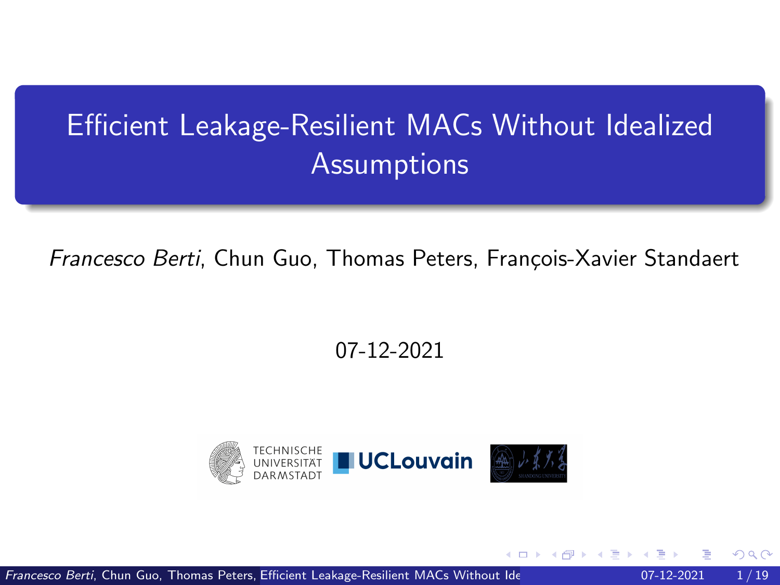# <span id="page-0-0"></span>Efficient Leakage-Resilient MACs Without Idealized **Assumptions**

Francesco Berti, Chun Guo, Thomas Peters, François-Xavier Standaert

#### 07-12-2021



Francesco Berti, Chun Guo, Thomas Peters, Efficient Leakage-Resilient MACs Without Ide **Assumption COV** 07-12-2021 1/ 19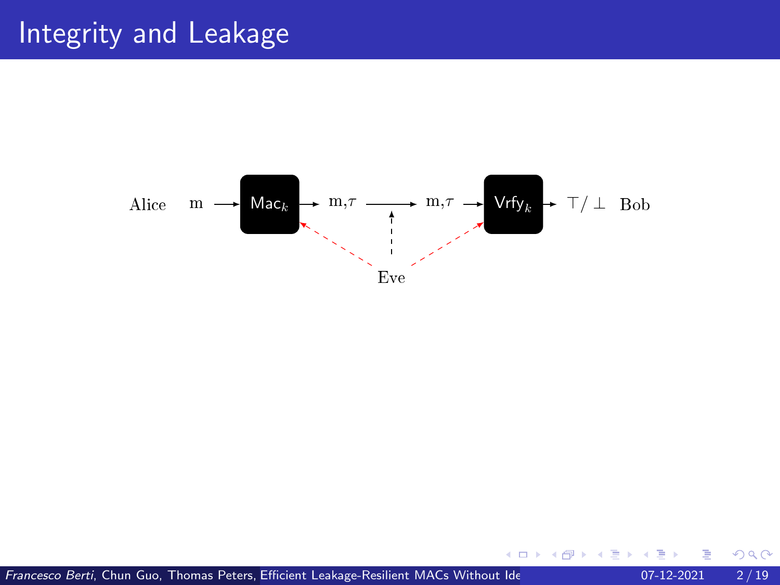#### Integrity and Leakage



←□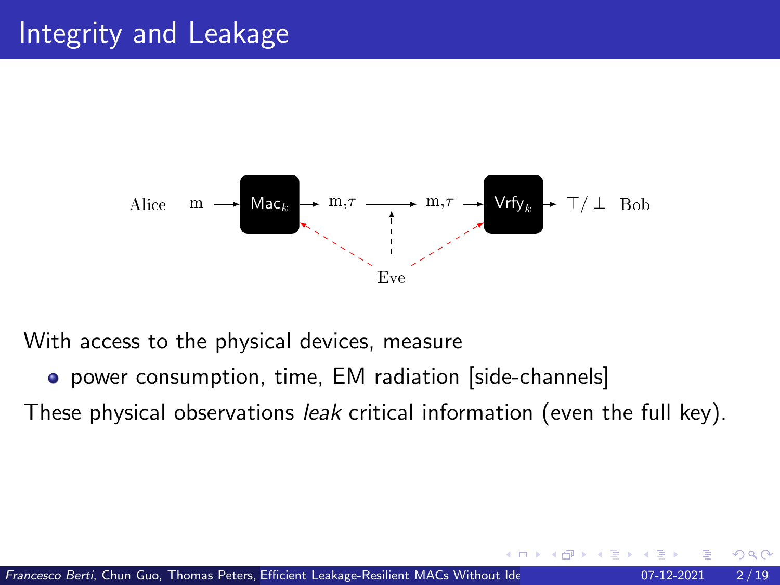#### Integrity and Leakage



With access to the physical devices, measure

• power consumption, time, EM radiation [side-channels]

These physical observations leak critical information (even the full key).

つへへ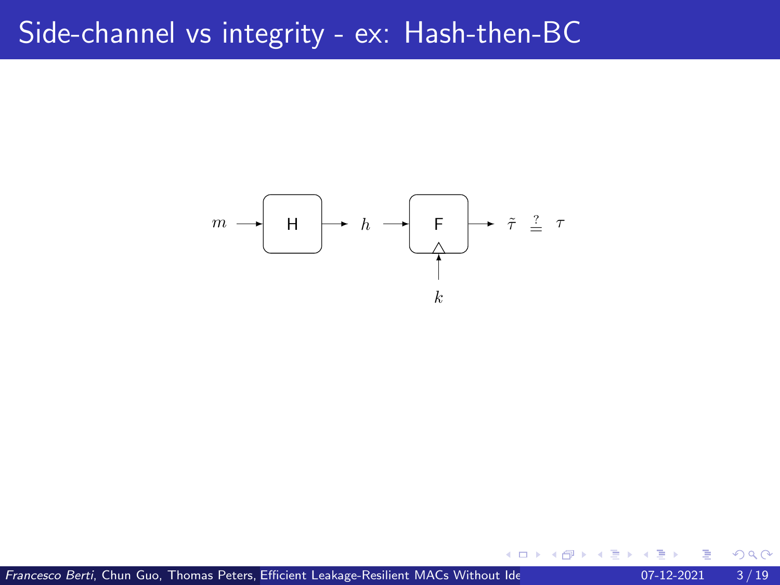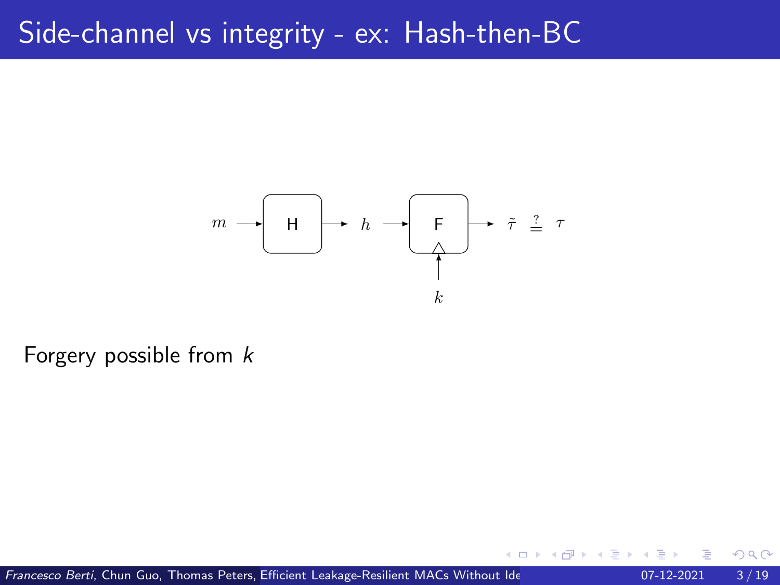

Forgery possible from k

Francesco Berti, Chun Guo, Thomas Peters, Efficient Leakage-Resilient MACs Without Ide **Assumption COV** 07-12-2021 3/19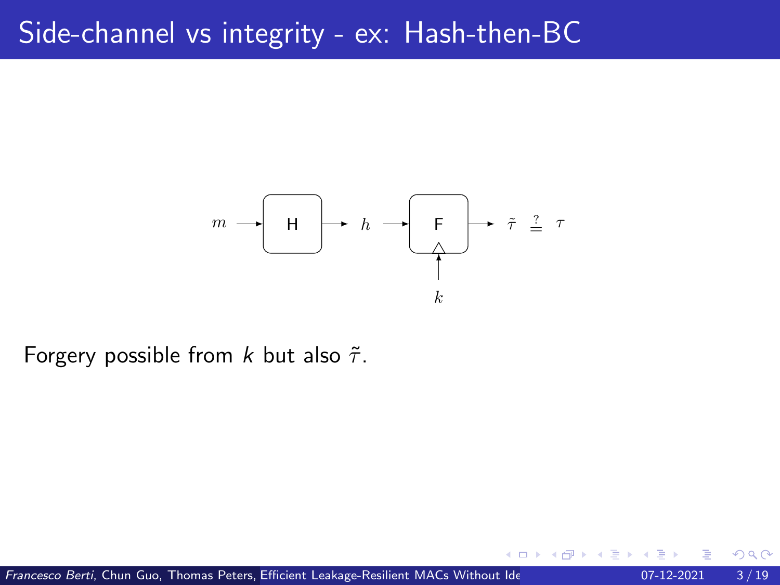

Forgery possible from k but also  $\tilde{\tau}$ .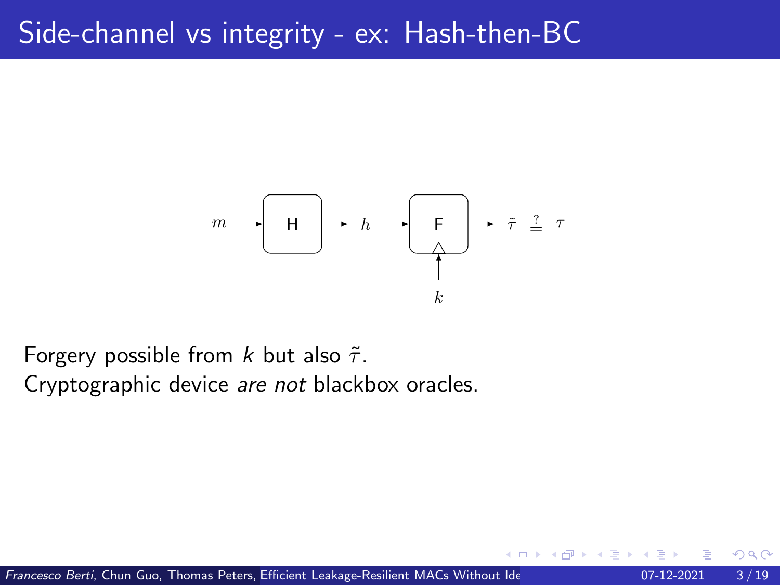

Forgery possible from k but also  $\tilde{\tau}$ . Cryptographic device are not blackbox oracles.

つひひ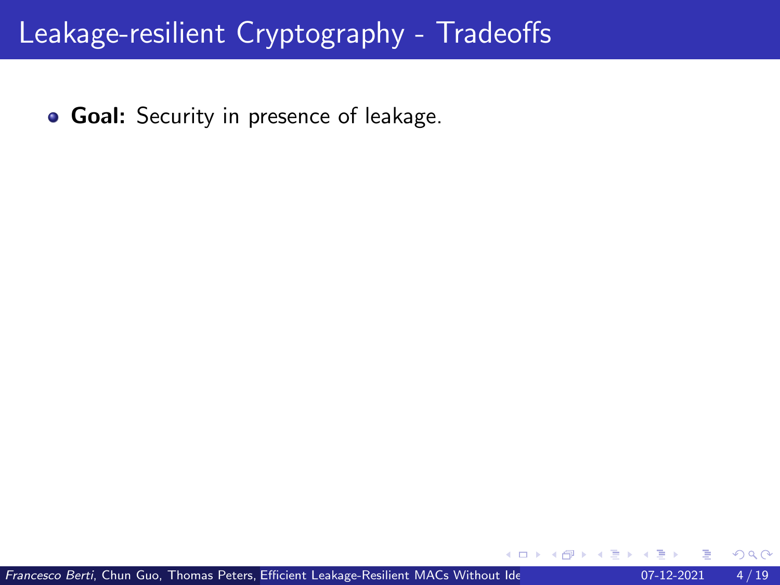**Goal:** Security in presence of leakage.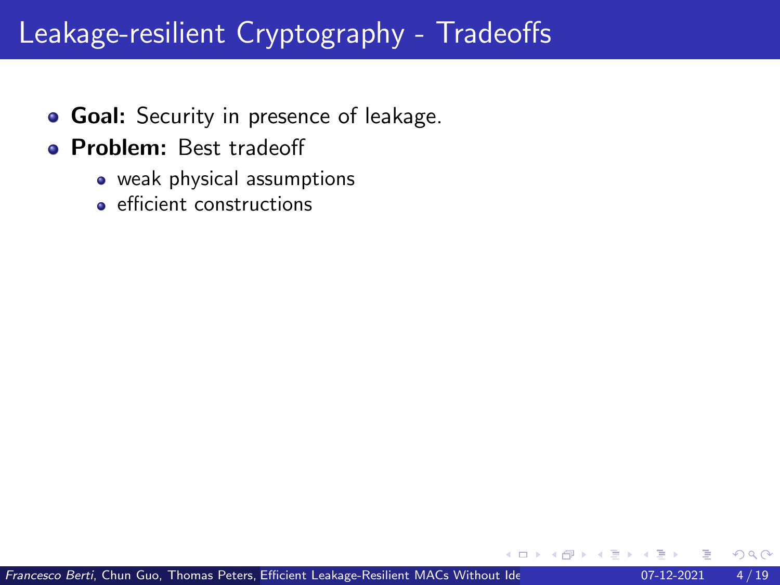- **Goal:** Security in presence of leakage.
- **Problem:** Best tradeoff
	- weak physical assumptions
	- **e** efficient constructions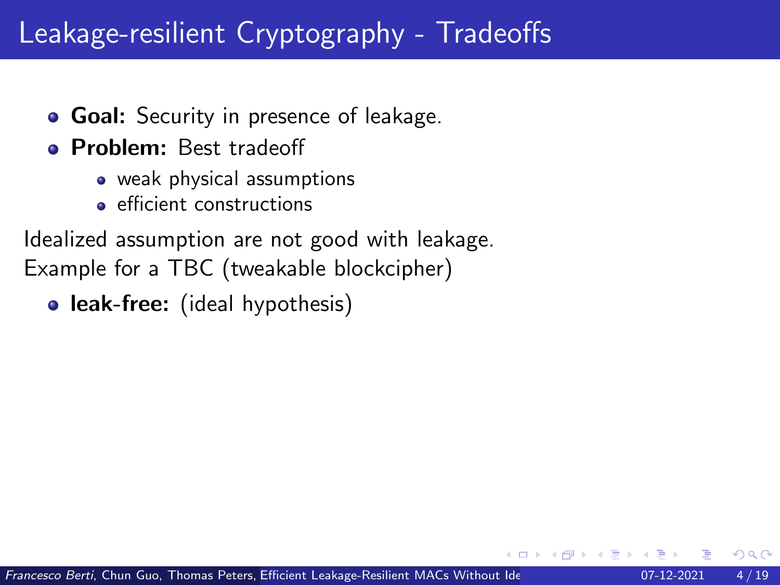- **Goal:** Security in presence of leakage.
- **Problem:** Best tradeoff
	- weak physical assumptions
	- **e** efficient constructions

Idealized assumption are not good with leakage. Example for a TBC (tweakable blockcipher)

• leak-free: (ideal hypothesis)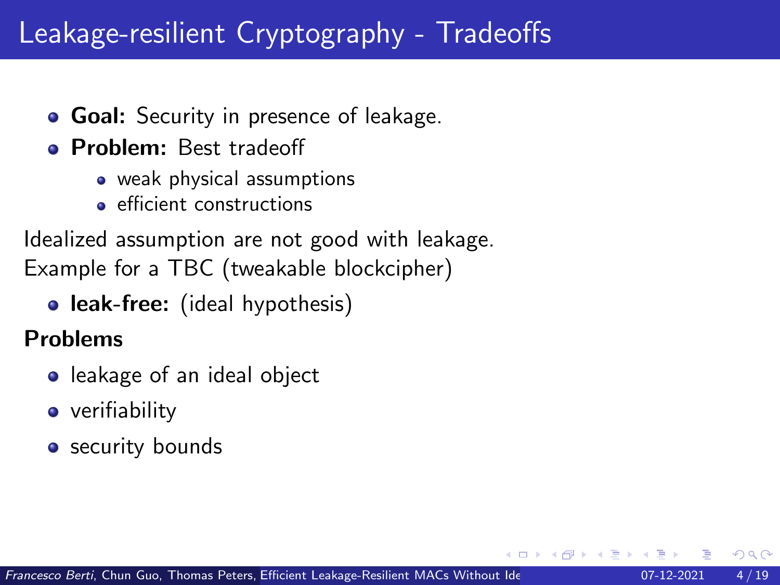- **Goal:** Security in presence of leakage.
- **Problem:** Best tradeoff
	- weak physical assumptions
	- **e** efficient constructions

Idealized assumption are not good with leakage. Example for a TBC (tweakable blockcipher)

• leak-free: (ideal hypothesis)

#### Problems

- **•** leakage of an ideal object
- **•** verifiability
- security bounds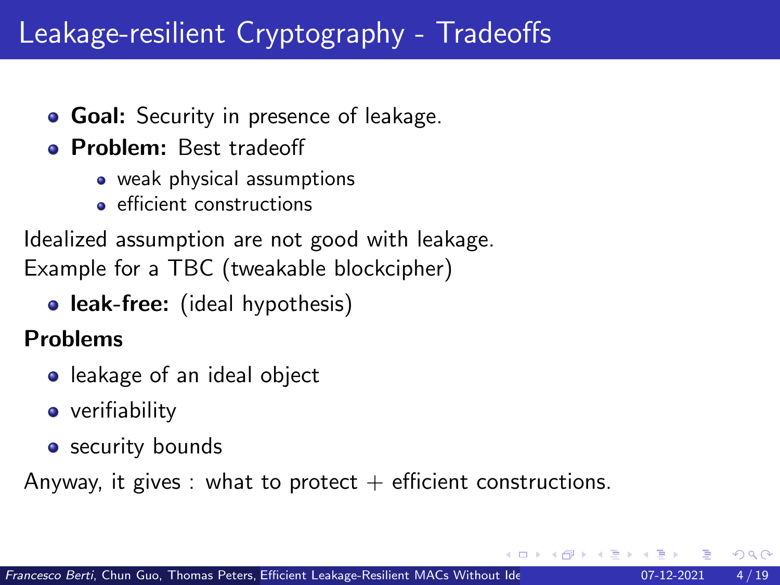- **Goal:** Security in presence of leakage.
- **Problem:** Best tradeoff
	- weak physical assumptions
	- **e** efficient constructions

Idealized assumption are not good with leakage. Example for a TBC (tweakable blockcipher)

• leak-free: (ideal hypothesis)

#### Problems

- **•** leakage of an ideal object
- **•** verifiability
- security bounds

Anyway, it gives : what to protect  $+$  efficient constructions.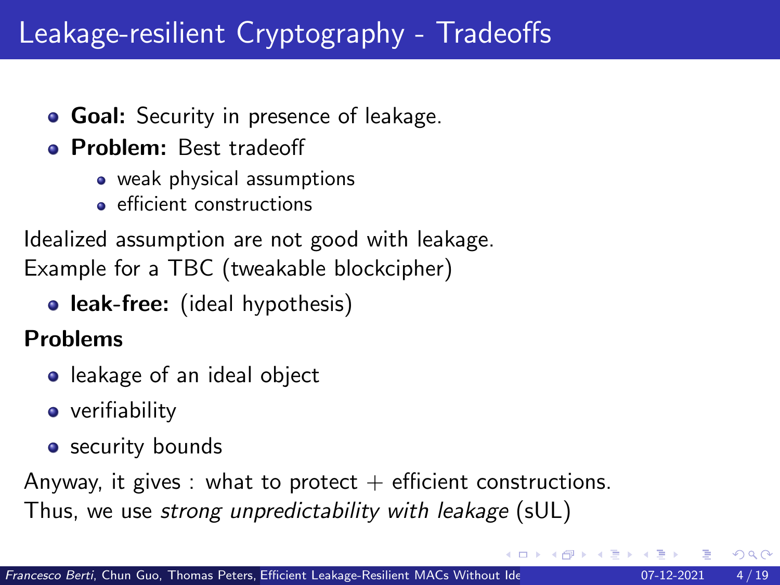- **Goal:** Security in presence of leakage.
- **Problem:** Best tradeoff
	- weak physical assumptions
	- **e** efficient constructions

Idealized assumption are not good with leakage. Example for a TBC (tweakable blockcipher)

• leak-free: (ideal hypothesis)

#### Problems

- **•** leakage of an ideal object
- **•** verifiability
- security bounds

Anyway, it gives : what to protect  $+$  efficient constructions.

Thus, we use strong unpredictability with leakage (sUL)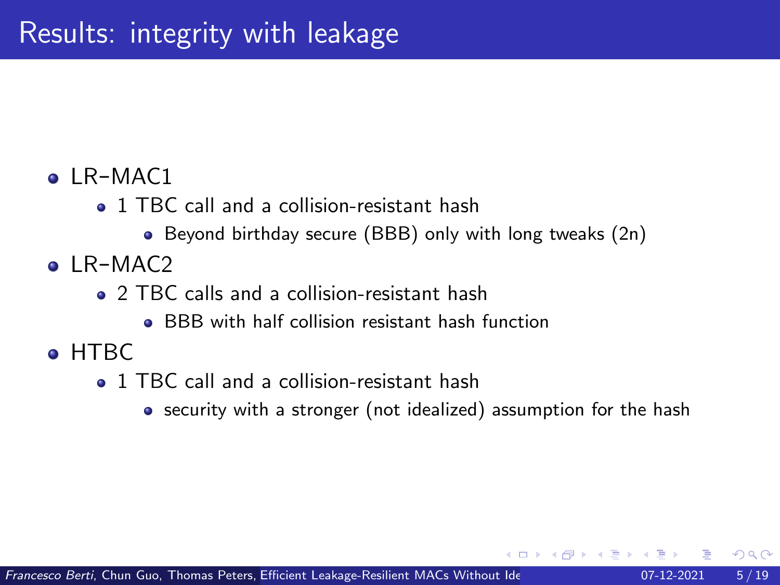#### $\bullet$  LR-MAC1

- 1 TBC call and a collision-resistant hash
	- Beyond birthday secure (BBB) only with long tweaks (2n)
- $\bullet$  LR-MAC<sub>2</sub>
	- **2** TBC calls and a collision-resistant hash
		- **BBB** with half collision resistant hash function
- o HTRC
	- 1 TBC call and a collision-resistant hash
		- security with a stronger (not idealized) assumption for the hash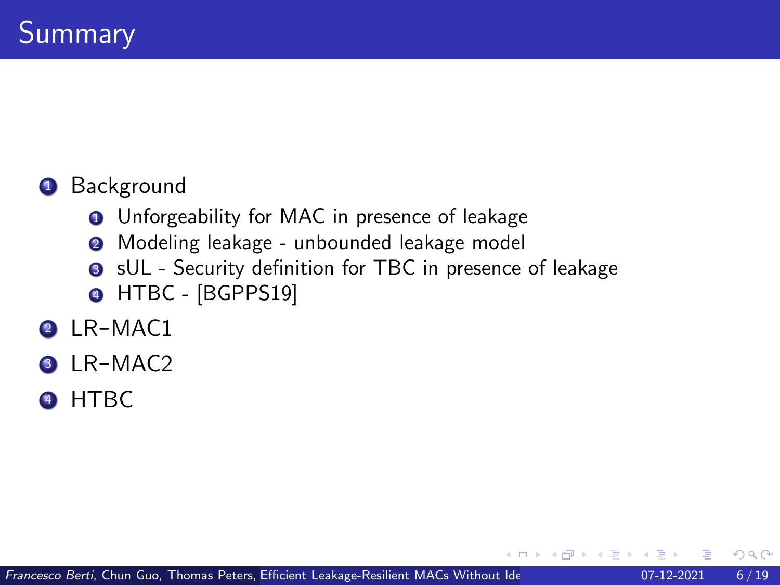#### **1** Background

- **<sup>1</sup>** Unforgeability for MAC in presence of leakage
- <sup>2</sup> Modeling leakage unbounded leakage model
- **3** sUL Security definition for TBC in presence of leakage
- **4 HTBC [BGPPS19]**
- 2 LR-MAC1
- LR-MAC2
- <sup>4</sup> HTBC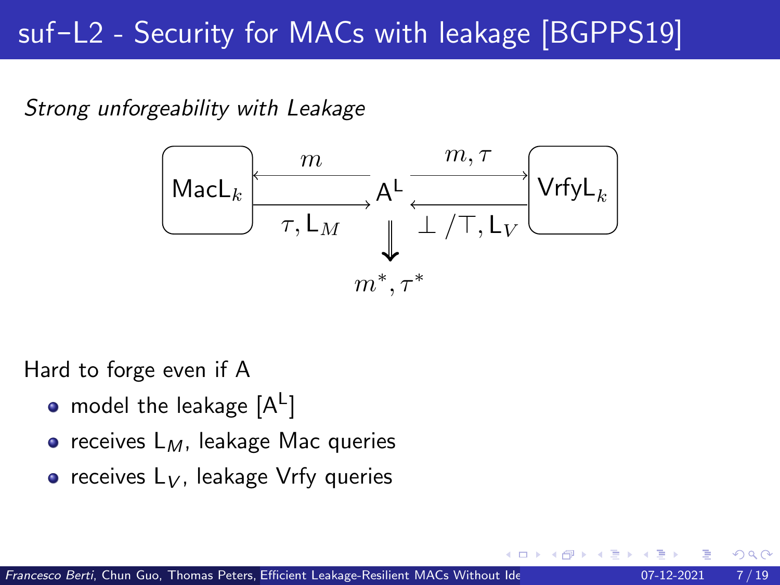## suf-L2 - Security for MACs with leakage [BGPPS19]

Strong unforgeability with Leakage



Hard to forge even if A

- model the leakage  $[\mathsf{A}^\mathsf{L}]$
- $\bullet$  receives  $L_M$ , leakage Mac queries
- $\bullet$  receives  $L_V$ , leakage Vrfy queries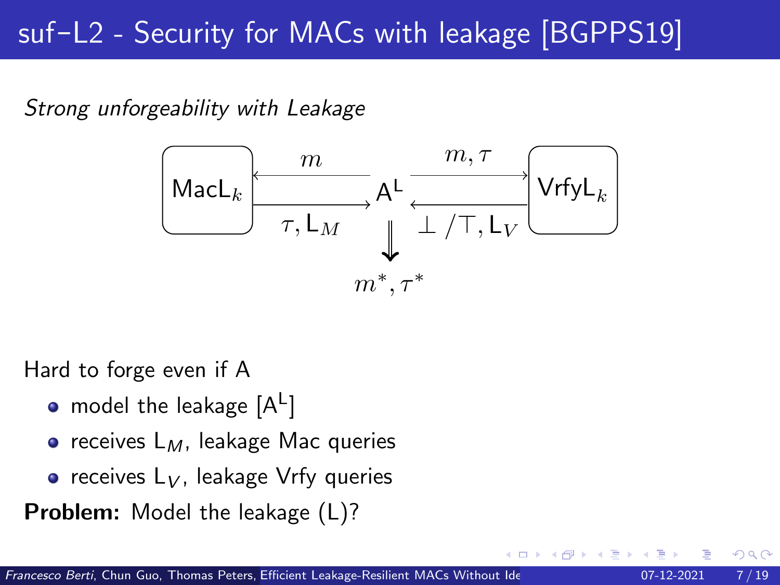## suf-L2 - Security for MACs with leakage [BGPPS19]

Strong unforgeability with Leakage



Hard to forge even if A

- model the leakage  $[\mathsf{A}^\mathsf{L}]$
- $\bullet$  receives  $L_M$ , leakage Mac queries
- $\bullet$  receives  $L_V$ , leakage Vrfy queries

Problem: Model the leakage (L)?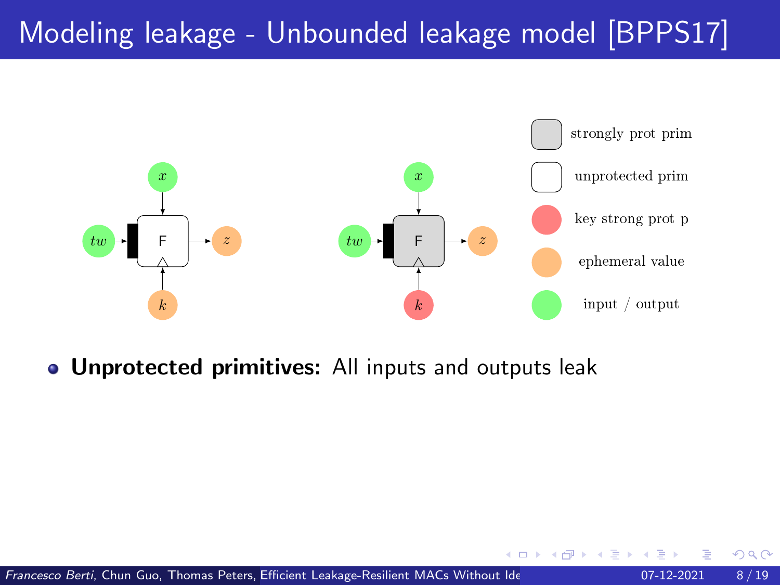

**• Unprotected primitives:** All inputs and outputs leak

←□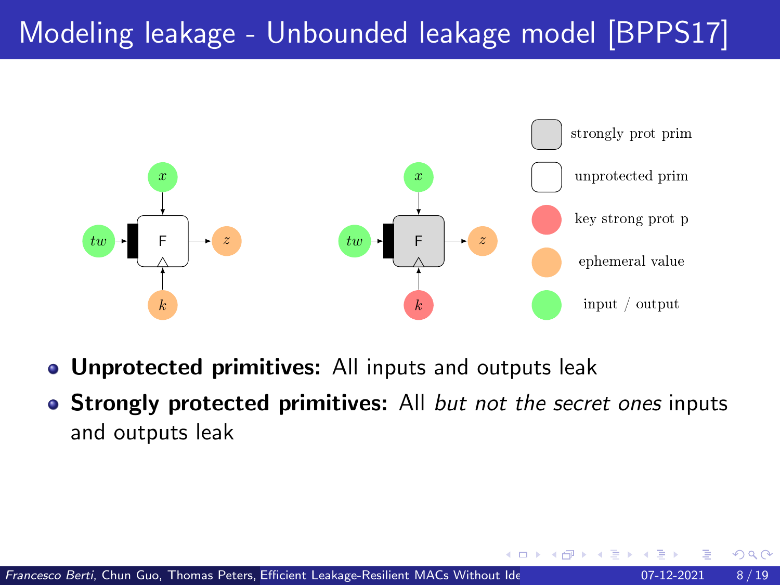

- **Unprotected primitives:** All inputs and outputs leak
- Strongly protected primitives: All but not the secret ones inputs and outputs leak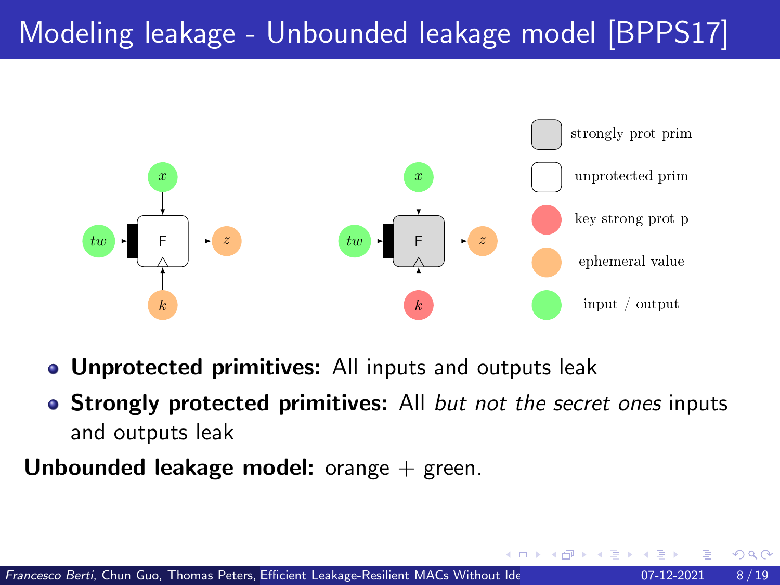

- **Unprotected primitives:** All inputs and outputs leak
- Strongly protected primitives: All but not the secret ones inputs and outputs leak
- **Unbounded leakage model:** orange  $+$  green.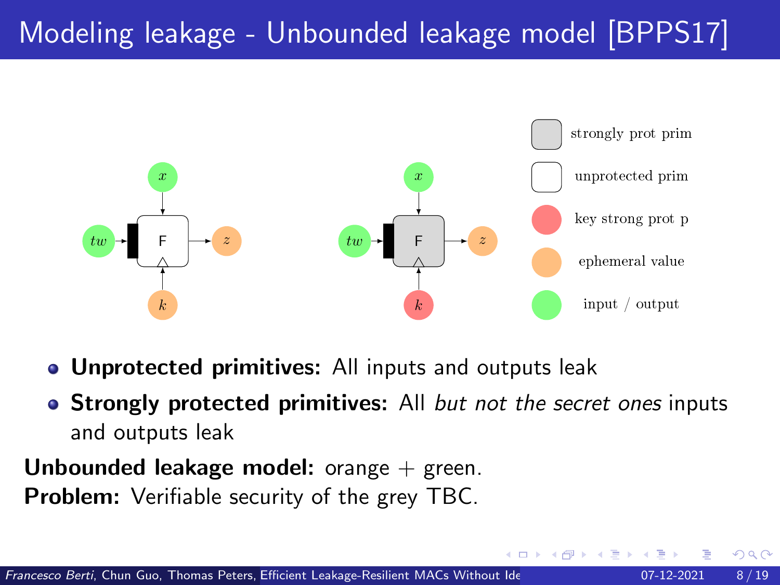

- **Unprotected primitives:** All inputs and outputs leak
- Strongly protected primitives: All but not the secret ones inputs and outputs leak

**Unbounded leakage model:** orange  $+$  green. **Problem:** Verifiable security of the grey TBC.

つひい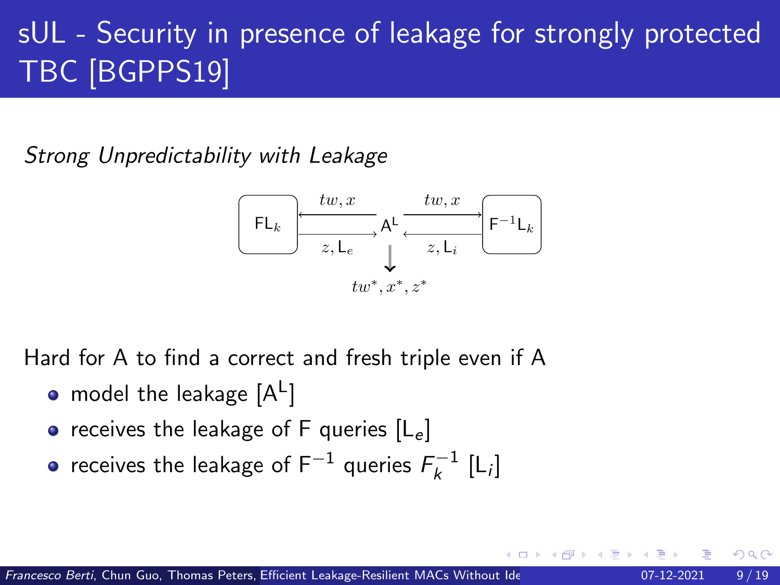# sUL - Security in presence of leakage for strongly protected TBC [BGPPS19]

Strong Unpredictability with Leakage



Hard for A to find a correct and fresh triple even if A

- model the leakage  $[\mathsf{A}^\mathsf{L}]$
- receives the leakage of F queries  $[L_e]$
- receives the leakage of F $^{-1}$  queries  $\mathcal{F}_k^{-1}$  [L;]

つひい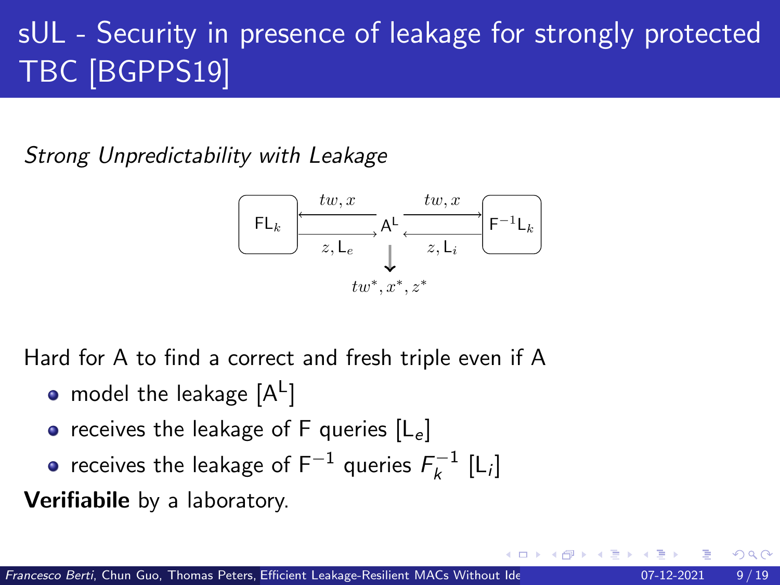# sUL - Security in presence of leakage for strongly protected TBC [BGPPS19]

Strong Unpredictability with Leakage



Hard for A to find a correct and fresh triple even if A

- model the leakage  $[\mathsf{A}^\mathsf{L}]$
- receives the leakage of F queries  $[L_e]$
- receives the leakage of F $^{-1}$  queries  $\mathcal{F}_k^{-1}$  [L;]

Verifiabile by a laboratory.

つひひ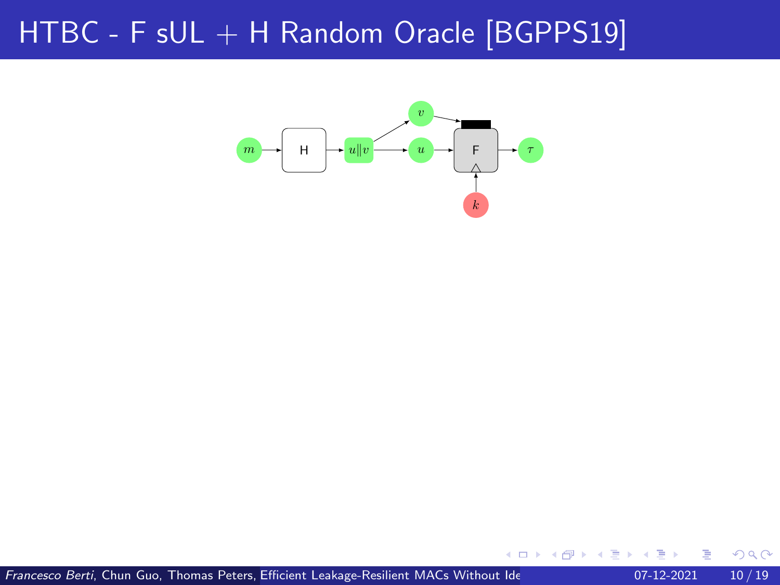

∍

 $\leftarrow$   $\Box$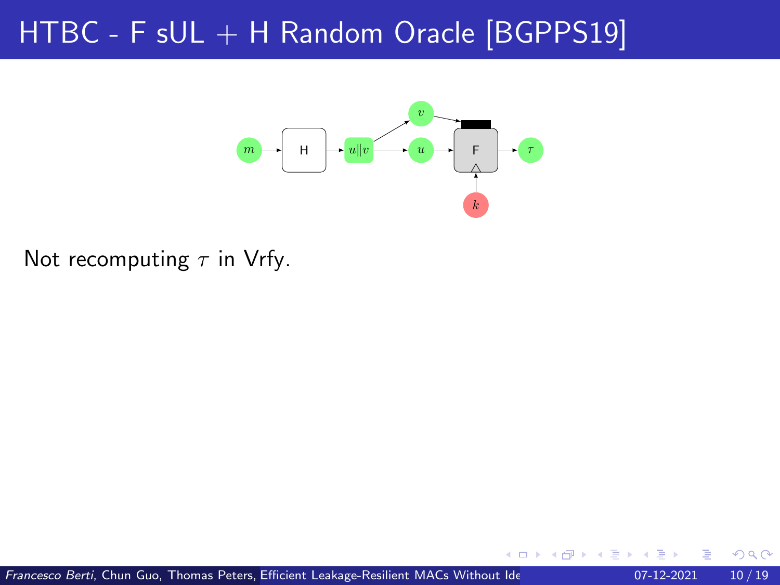

Not recomputing  $\tau$  in Vrfy.

←□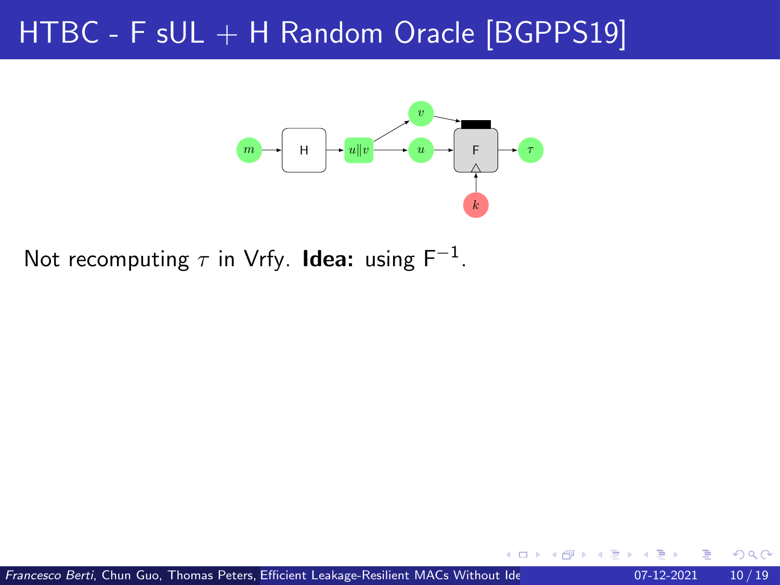

Not recomputing  $\tau$  in Vrfy. **Idea:** using F<sup>-1</sup>.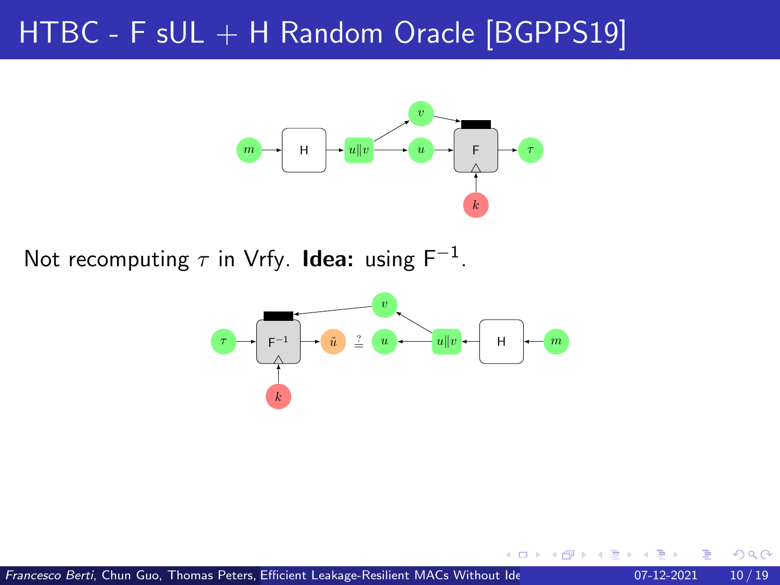

Not recomputing  $\tau$  in Vrfy. **Idea:** using F<sup>-1</sup>.

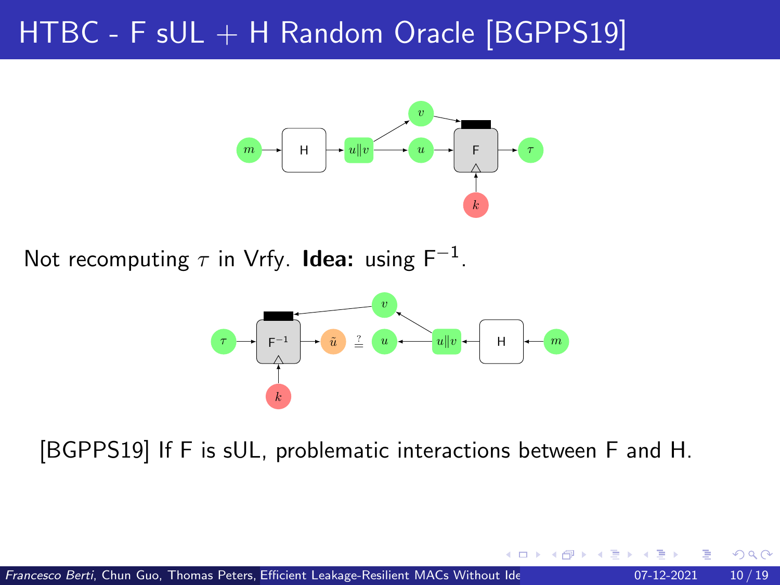

Not recomputing  $\tau$  in Vrfy. **Idea:** using F<sup>-1</sup>.



[BGPPS19] If F is sUL, problematic interactions between F and H.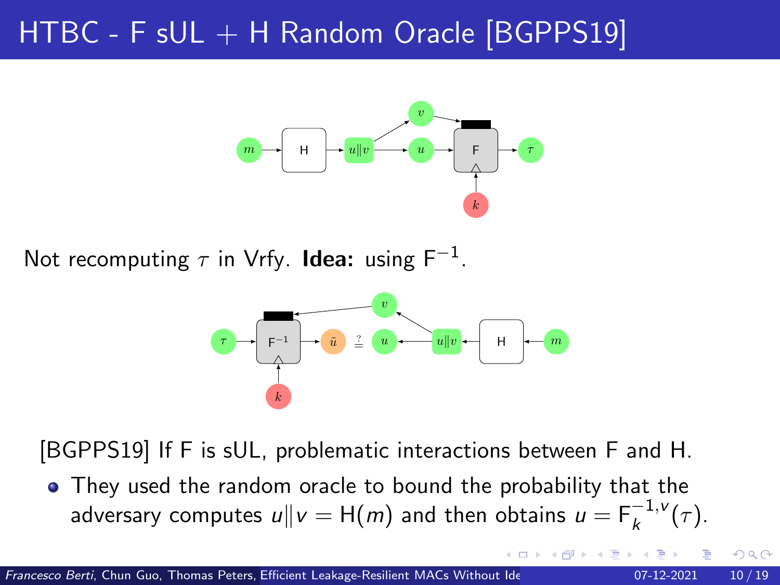

Not recomputing  $\tau$  in Vrfy. **Idea:** using F<sup>-1</sup>.



[BGPPS19] If F is sUL, problematic interactions between F and H.

They used the random oracle to bound the probability that the adversary computes  $u \| v = \mathsf{H}(m)$  and then obtains  $u = \mathsf{F}_k^{-1,\mathsf{v}}(\tau).$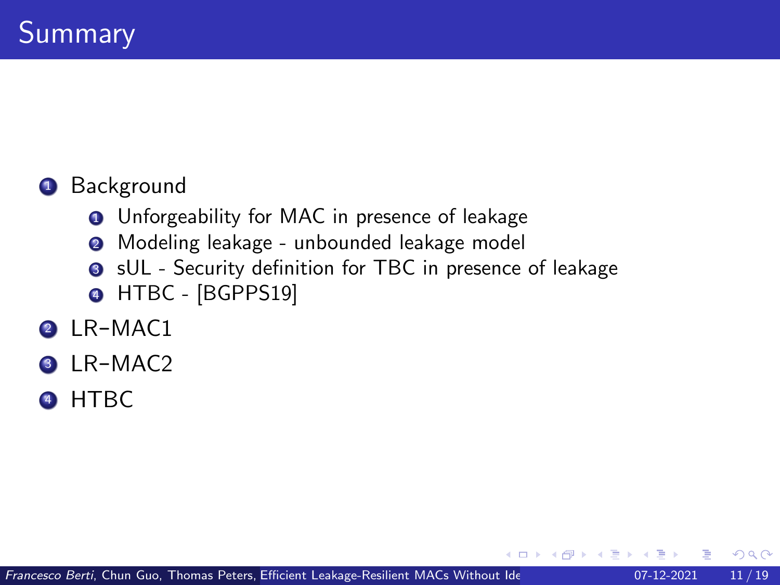#### **1** Background

- **<sup>1</sup>** Unforgeability for MAC in presence of leakage
- <sup>2</sup> Modeling leakage unbounded leakage model
- **3** sUL Security definition for TBC in presence of leakage
- **4 HTBC [BGPPS19]**
- 2 LR-MAC1
- LR-MAC2
- <sup>4</sup> HTBC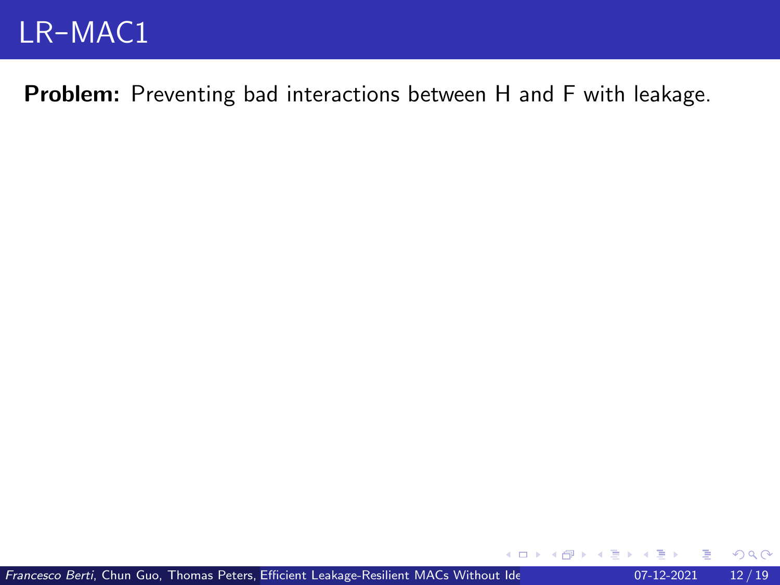Problem: Preventing bad interactions between H and F with leakage.

 $\rightarrow$   $\rightarrow$   $\rightarrow$ 

 $298$ 

4 0 8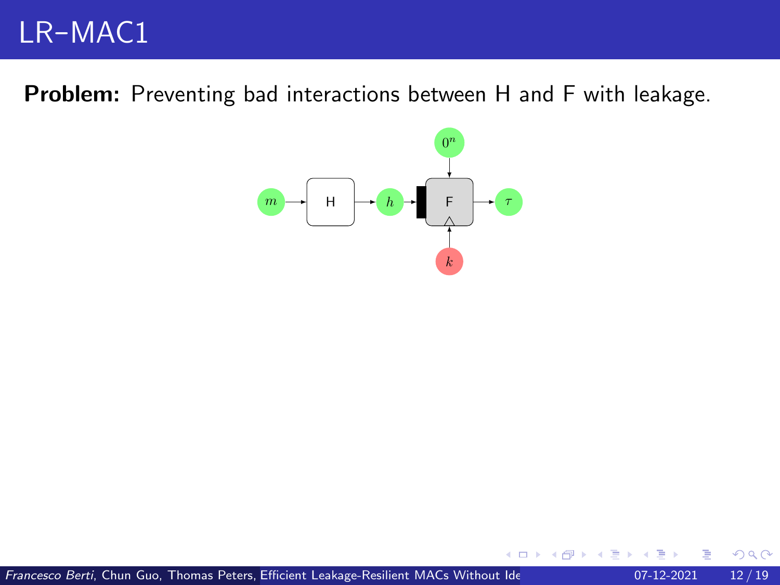Problem: Preventing bad interactions between H and F with leakage.



 $\leftarrow$   $\Box$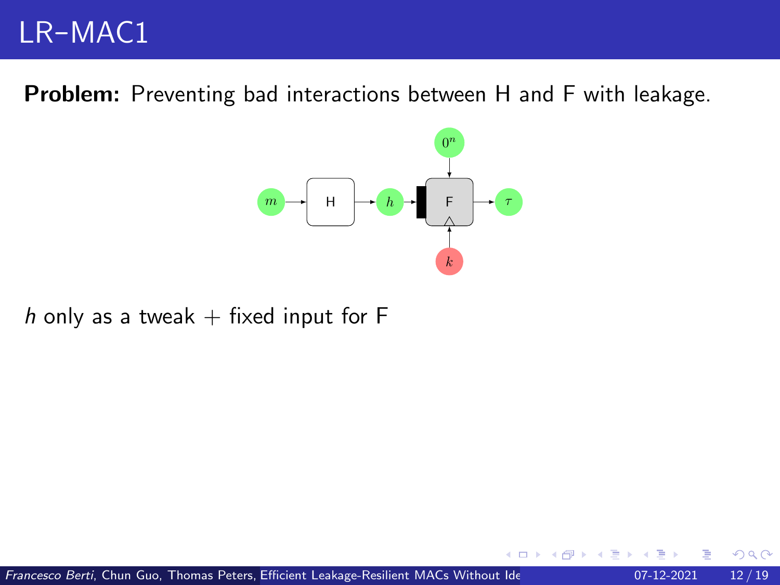Problem: Preventing bad interactions between H and F with leakage.



h only as a tweak  $+$  fixed input for F

←□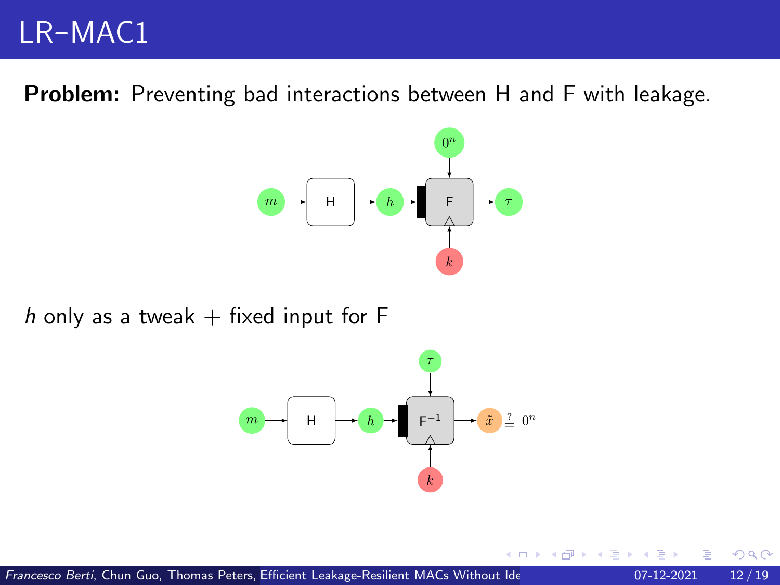Problem: Preventing bad interactions between H and F with leakage.



h only as a tweak  $+$  fixed input for F



←□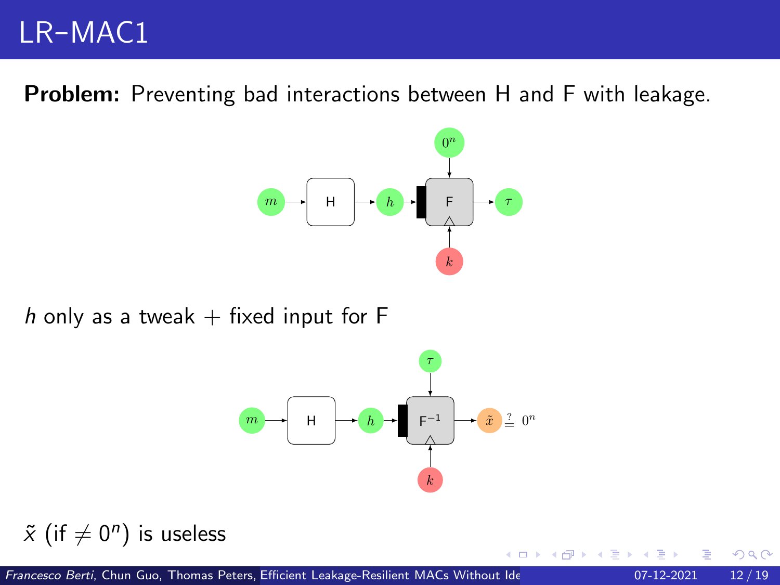Problem: Preventing bad interactions between H and F with leakage.



h only as a tweak  $+$  fixed input for F



←□

$$
\tilde{x} \text{ (if } \neq 0^n \text{) is useless}
$$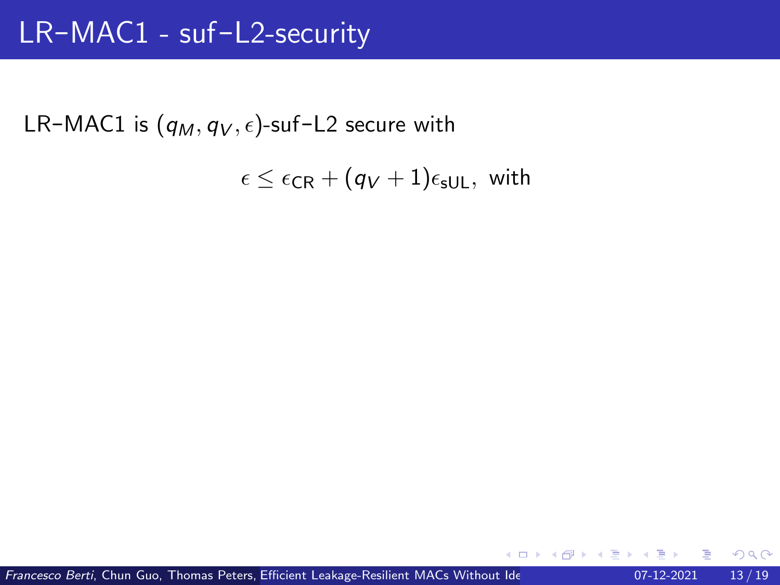LR-MAC1 is  $(q_M, q_V, \epsilon)$ -suf-L2 secure with

$$
\epsilon \leq \epsilon_{\mathsf{CR}} + (q_V + 1)\epsilon_{\mathsf{sUL}}, \text{ with }
$$

€⊡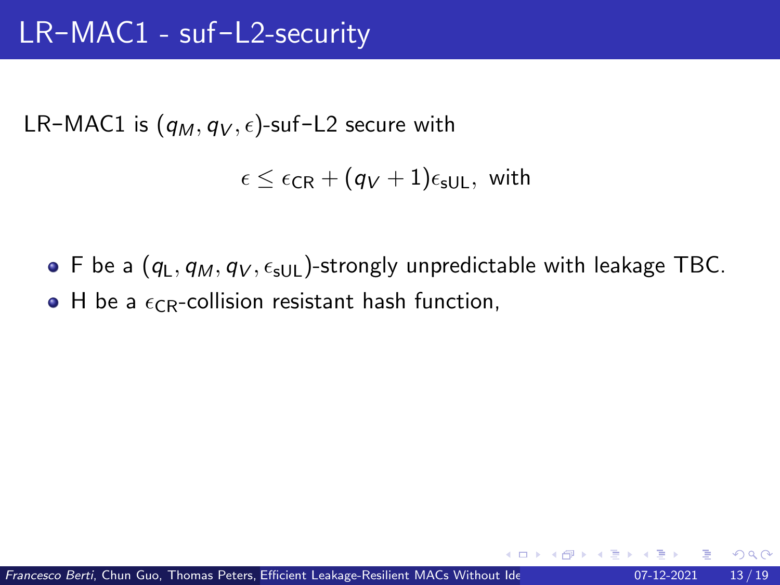LR-MAC1 is  $(q_M, q_V, \epsilon)$ -suf-L2 secure with

$$
\epsilon \leq \epsilon_{\mathsf{CR}} + (q_V + 1)\epsilon_{\mathsf{sUL}}, \text{ with }
$$

• F be a  $(q_L, q_M, q_V, \epsilon_{\text{sl}})$ -strongly unpredictable with leakage TBC.  $\bullet$  H be a  $\epsilon_{CR}$ -collision resistant hash function,

つひひ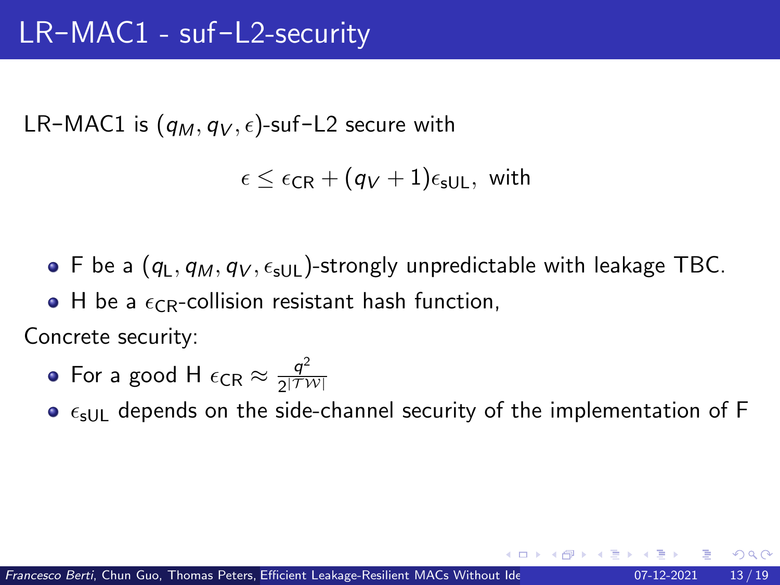LR-MAC1 is  $(q_M, q_V, \epsilon)$ -suf-L2 secure with

 $\epsilon \leq \epsilon_{CR} + (q_V + 1)\epsilon_{\text{slill}}$ , with

• F be a  $(q_L, q_M, q_V, \epsilon_{\text{sl}})$ -strongly unpredictable with leakage TBC.

 $\bullet$  H be a  $\epsilon_{CR}$ -collision resistant hash function,

Concrete security:

• For a good H 
$$
\epsilon_{CR} \approx \frac{q^2}{2^{|\mathcal{TW}|}}
$$

 $\bullet$   $\epsilon$ <sub>sUL</sub> depends on the side-channel security of the implementation of F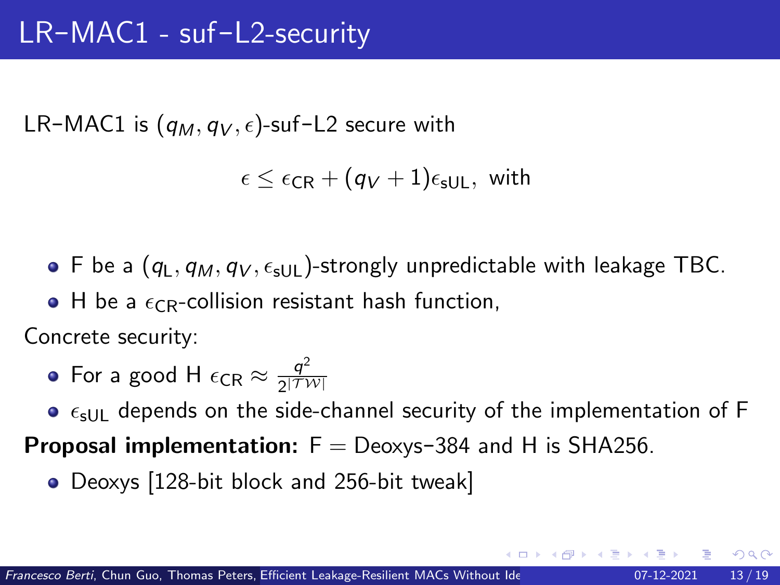<span id="page-38-0"></span>LR-MAC1 is  $(q_M, q_V, \epsilon)$ -suf-L2 secure with

 $\epsilon \leq \epsilon_{CR} + (q_V + 1)\epsilon_{\text{slill}}$ , with

 $\bullet$  F be a (q<sub>L</sub>, q<sub>M</sub>, q<sub>V</sub>,  $\epsilon$ <sub>SUL</sub>)-strongly unpredictable with leakage TBC.

 $\bullet$  H be a  $\epsilon_{CR}$ -collision resistant hash function,

Concrete security:

• For a good H 
$$
\epsilon_{CR} \approx \frac{q^2}{2|TW|}
$$

 $\bullet$   $\epsilon$ <sub>sUL</sub> depends on the side-channel security of the implementation of F

**Proposal implementation:**  $F = Deoxvs-384$  and H is SHA256.

• Deoxys [128-bit block and 256-bit tweak]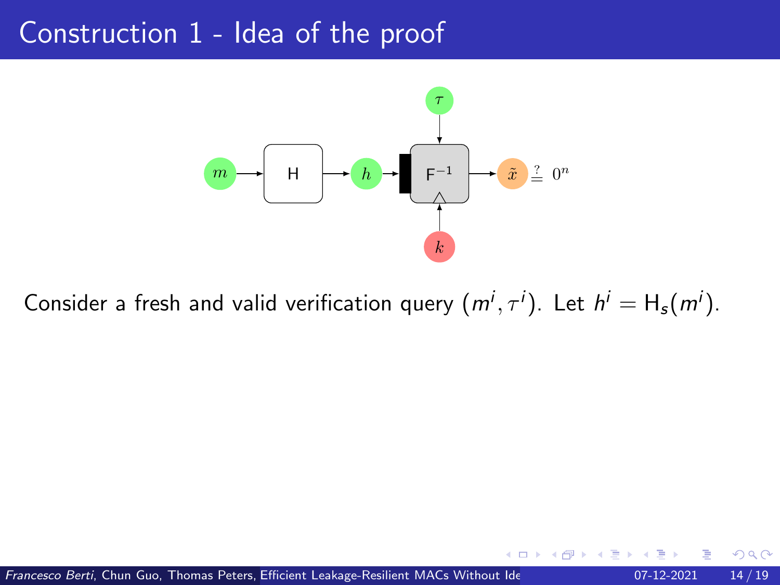<span id="page-39-0"></span>

Consider a fresh and valid verification query  $(m^i, \tau^i)$ . Let  $h^i = H_s(m^i)$ .

Francesco Berti, Chun Guo, Thomas Peters, Efficient Leakage-Resilient MACs Without Ide<br>
Assumption of the Assumption of the Assumption of the Assumption of the Assumption of the Assumption of the A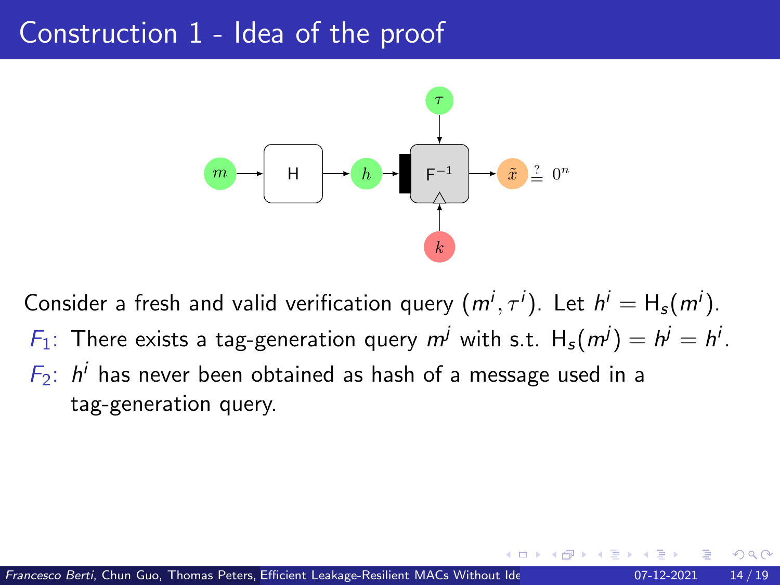

Consider a fresh and valid verification query  $(m^i, \tau^i)$ . Let  $h^i = H_s(m^i)$ .  $F_1$ : There exists a tag-generation query  $m^j$  with s.t.  $H_s(m^j) = h^j = h^j$ .  $F_2$ :  $h^i$  has never been obtained as hash of a message used in a tag-generation query.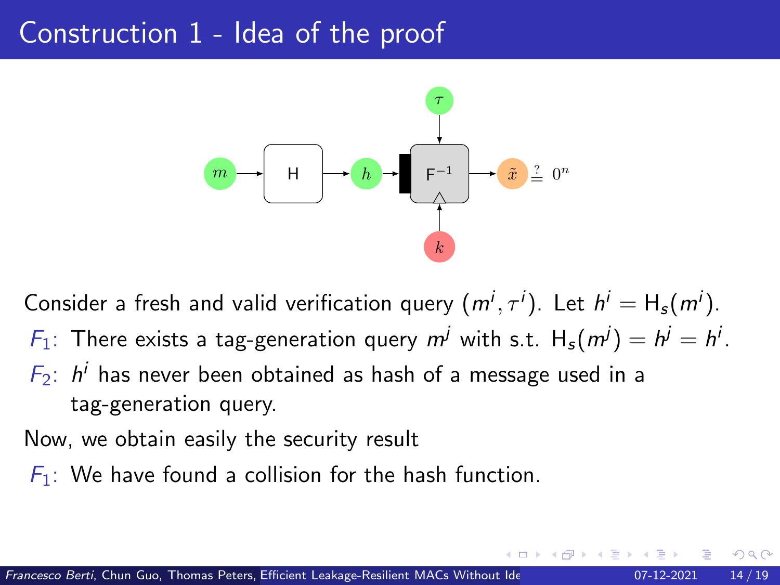<span id="page-41-0"></span>

Consider a fresh and valid verification query  $(m^i, \tau^i)$ . Let  $h^i = H_s(m^i)$ .  $F_1$ : There exists a tag-generation query  $m^j$  with s.t.  $H_s(m^j) = h^j = h^j$ .  $F_2$ :  $h^i$  has never been obtained as hash of a message used in a tag-generation query.

Now, we obtain easily the security result

 $F_1$ : We have found a collision for the hash function.

つひい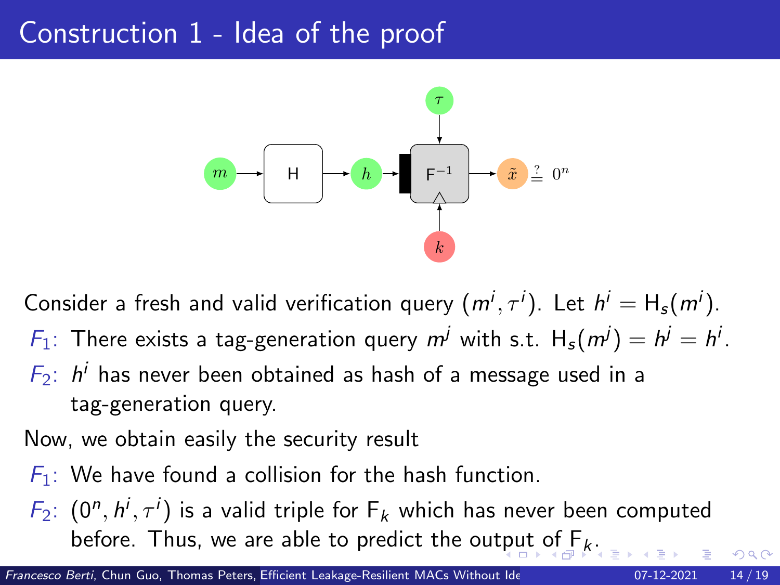<span id="page-42-0"></span>

Consider a fresh and valid verification query  $(m^i, \tau^i)$ . Let  $h^i = H_s(m^i)$ .  $F_1$ : There exists a tag-generation query  $m^j$  with s.t.  $H_s(m^j) = h^j = h^j$ .  $F_2$ :  $h^i$  has never been obtained as hash of a message used in a tag-generation query.

Now, we obtain easily the security result

- $F_1$ : We have found a collision for the hash function.
- $F_2$ :  $(0^n, h^i, \tau^i)$  is a valid triple for  $F_k$  which has never been computed before. Thus, we are able to predict the ou[tpu](#page-41-0)[t](#page-43-0) [of](#page-38-0) $F_k$  $F_k$  $F_k$ [.](#page-38-0)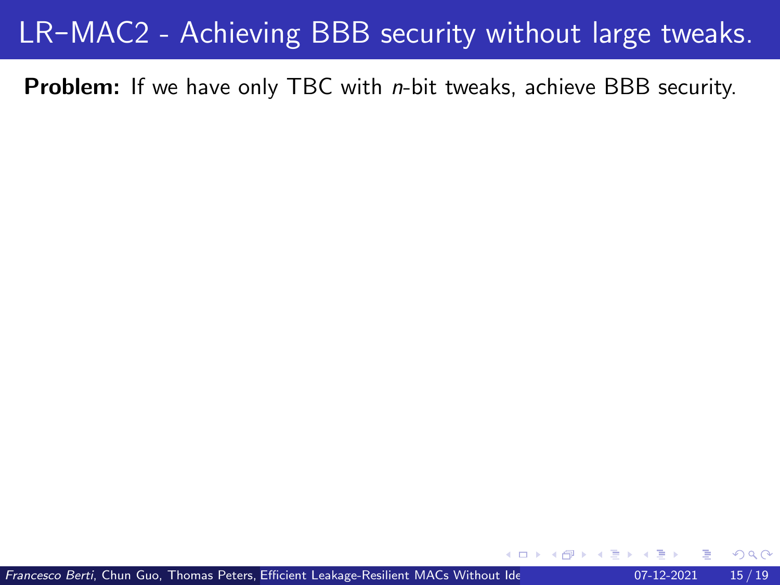#### <span id="page-43-0"></span>LR-MAC2 - Achieving BBB security without large tweaks.

**Problem:** If we have only TBC with *n*-bit tweaks, achieve BBB security.

Francesco Berti, Chun Guo, Thomas Peters, Efficient Leakage-Resilient MACs Without Ide **Assumption CO-12-2021** 15 / 19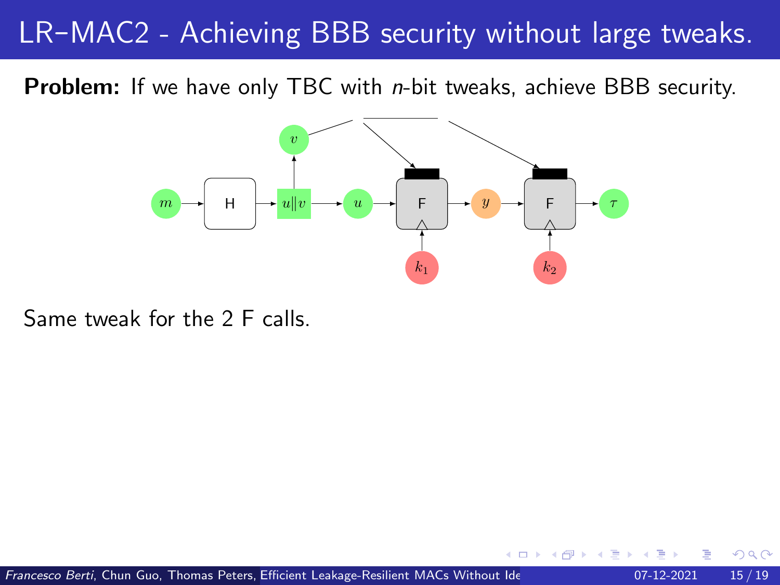#### LR-MAC2 - Achieving BBB security without large tweaks.

**Problem:** If we have only TBC with *n*-bit tweaks, achieve BBB security.



Same tweak for the 2 F calls.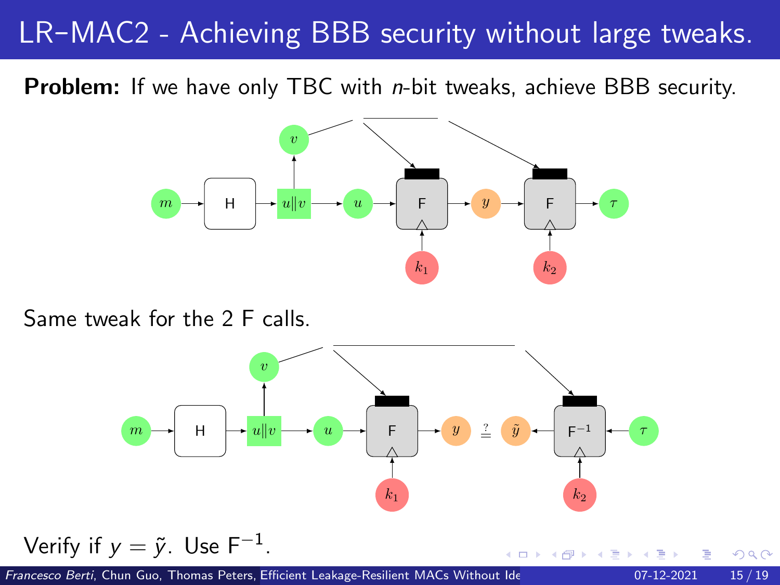#### <span id="page-45-0"></span>LR-MAC2 - Achieving BBB security without large tweaks.

**Problem:** If we have only TBC with *n*-bit tweaks, achieve BBB security.



Same tweak for the 2 F calls.



Francesco Berti, Chun Guo, Thomas Peters, Efficient Leakage-Resilient MACs Without Ide **Assumption CO-12-2021** 15/19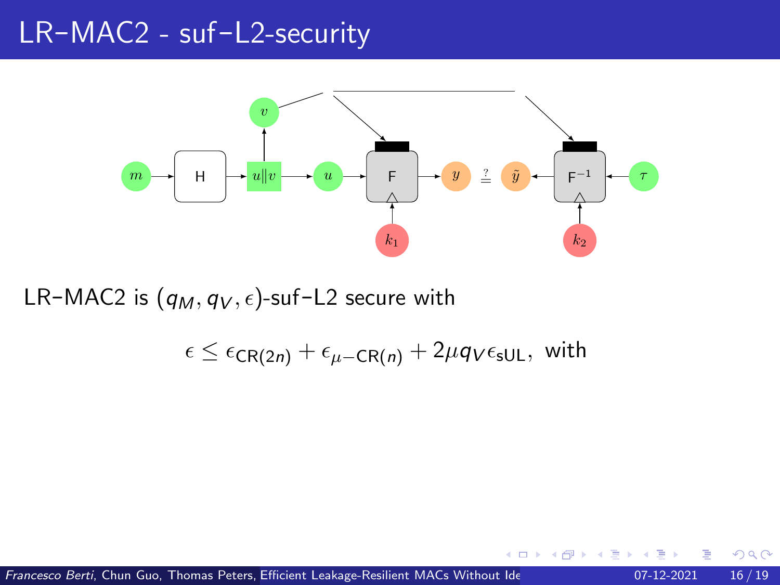<span id="page-46-0"></span>

LR-MAC2 is  $(q_M, q_V, \epsilon)$ -suf-L2 secure with

 $\epsilon \leq \epsilon_{CR(2n)} + \epsilon_{\mu - CR(n)} + 2\mu q_{V}\epsilon_{\text{sUL}}$ , with

Francesco Berti, Chun Guo, Thomas Peters, Efficient Leakage-Resilient MACs Without Ide **Assumption CO-12-2021** 16 / 19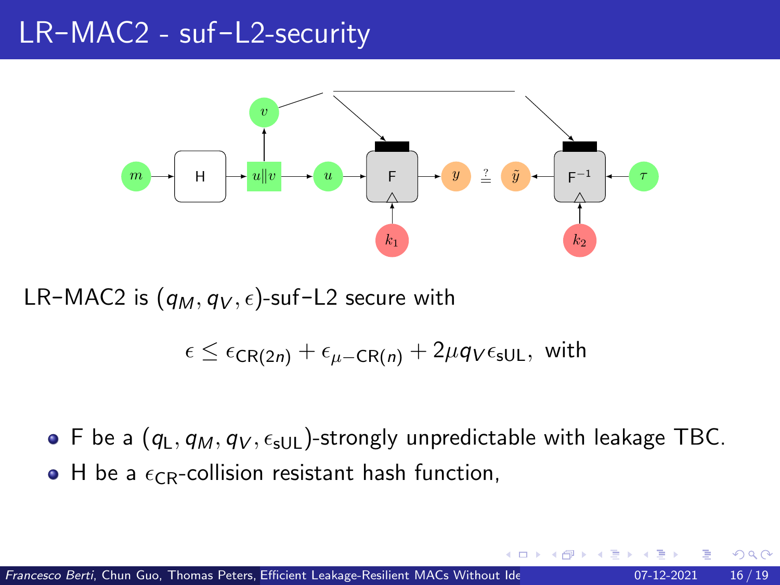

LR-MAC2 is  $(q_M, q_V, \epsilon)$ -suf-L2 secure with

 $\epsilon \leq \epsilon_{CR(2n)} + \epsilon_{\mu - CR(n)} + 2\mu q_{V}\epsilon_{\text{sUL}}$ , with

F be a  $(q_L, q_M, q_V, \epsilon_{\text{slUL}})$ -strongly unpredictable with leakage TBC.  $\bullet$  H be a  $\epsilon_{CR}$ -collision resistant hash function,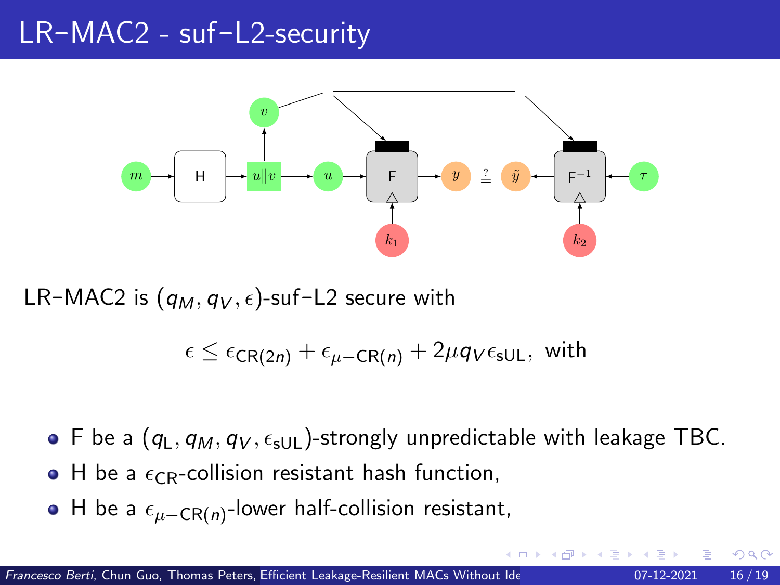<span id="page-48-0"></span>

LR-MAC2 is  $(q_M, q_V, \epsilon)$ -suf-L2 secure with

 $\epsilon \leq \epsilon_{CR(2n)} + \epsilon_{\mu - CR(n)} + 2\mu q_{V}\epsilon_{\text{sUL}}$ , with

- F be a  $(q_L, q_M, q_V, \epsilon_{\text{slUL}})$ -strongly unpredictable with leakage TBC.
- $\bullet$  H be a  $\epsilon_{CR}$ -collision resistant hash function,
- H be a  $\epsilon_{\mu-\textsf{CR}(n)}$ -lower half-collision resistant,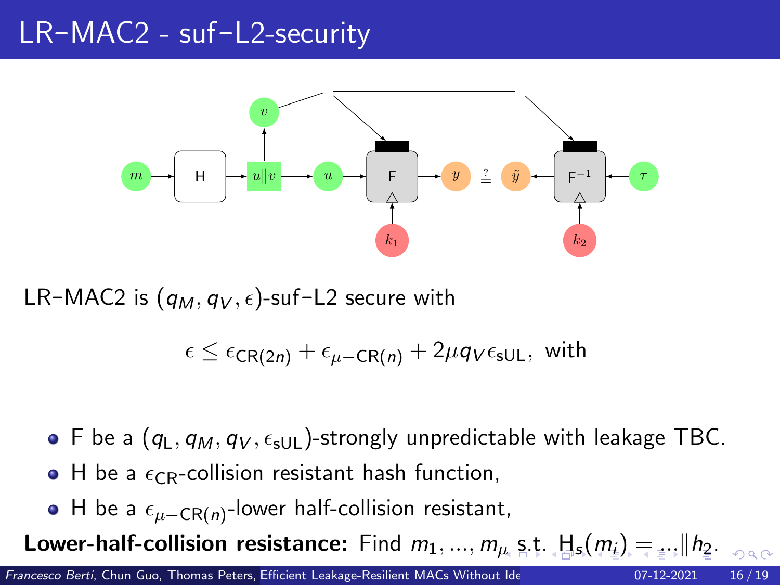<span id="page-49-0"></span>

LR-MAC2 is  $(q_M, q_V, \epsilon)$ -suf-L2 secure with

 $\epsilon \leq \epsilon_{CR(2n)} + \epsilon_{\mu - CR(n)} + 2\mu q_{V}\epsilon_{\text{sUL}}$ , with

- F be a  $(q_L, q_M, q_V, \epsilon_{\text{slUL}})$ -strongly unpredictable with leakage TBC.
- $\bullet$  H be a  $\epsilon_{CR}$ -collision resistant hash function,
- H be a  $\epsilon_{\mu-\textsf{CR}(n)}$ -lower half-collision resistant,

Lower-half-collisionre[s](#page-49-0)istance: Find  $m_1, ..., m_\mu$  $m_1, ..., m_\mu$  $m_1, ..., m_\mu$  $m_1, ..., m_\mu$  s[.t.](#page-50-0)  $H_s(m_i) = ... \| h_2... \|_{\alpha}$  $H_s(m_i) = ... \| h_2... \|_{\alpha}$  $H_s(m_i) = ... \| h_2... \|_{\alpha}$  $H_s(m_i) = ... \| h_2... \|_{\alpha}$  $H_s(m_i) = ... \| h_2... \|_{\alpha}$  $H_s(m_i) = ... \| h_2... \|_{\alpha}$  $H_s(m_i) = ... \| h_2... \|_{\alpha}$  $H_s(m_i) = ... \| h_2... \|_{\alpha}$  $H_s(m_i) = ... \| h_2... \|_{\alpha}$  $H_s(m_i) = ... \| h_2... \|_{\alpha}$  $H_s(m_i) = ... \| h_2... \|_{\alpha}$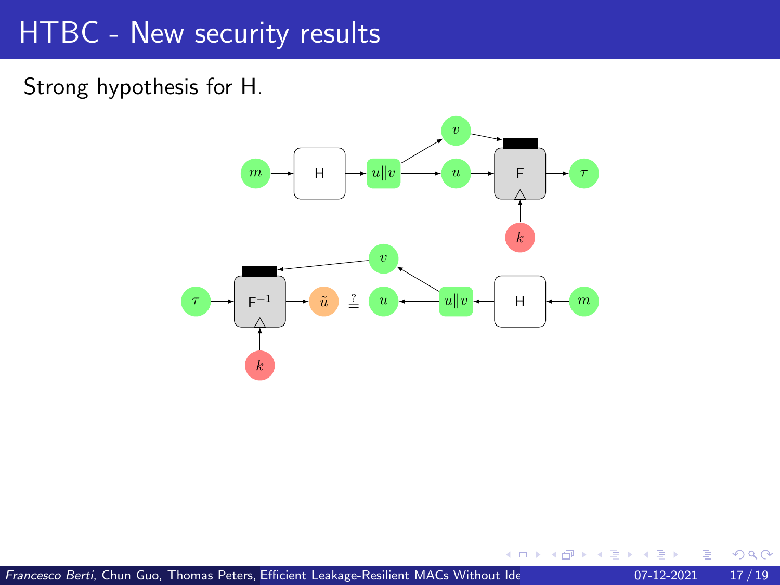<span id="page-50-0"></span>Strong hypothesis for H.



€⊡

 $QQQ$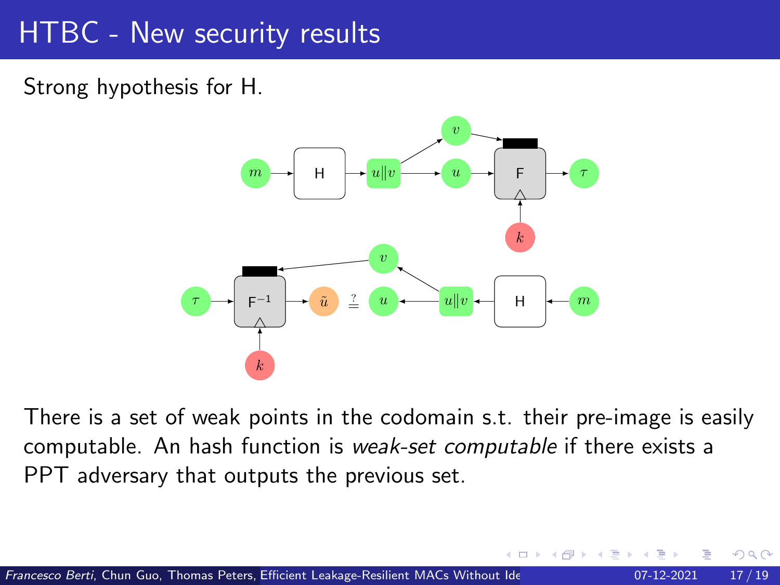Strong hypothesis for H.



There is a set of weak points in the codomain s.t. their pre-image is easily computable. An hash function is weak-set computable if there exists a PPT adversary that outputs the previous set.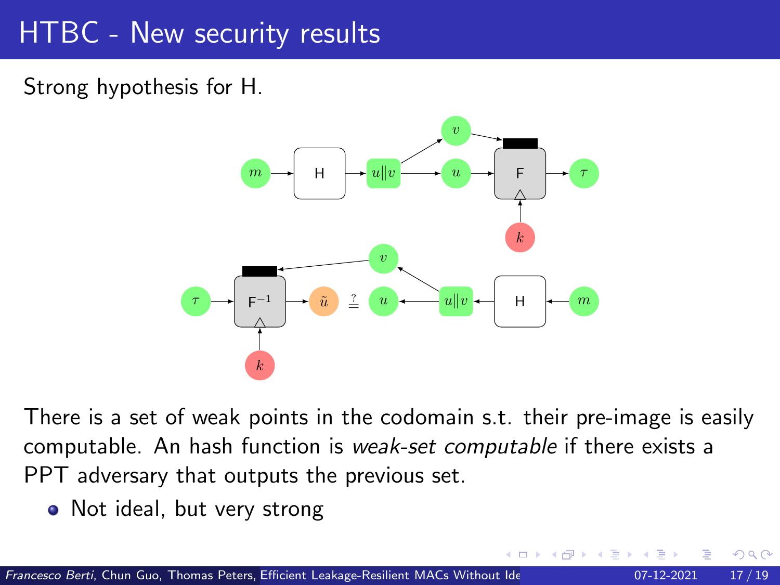Strong hypothesis for H.



There is a set of weak points in the codomain s.t. their pre-image is easily computable. An hash function is weak-set computable if there exists a PPT adversary that outputs the previous set.

• Not ideal, but very strong

∽≏∩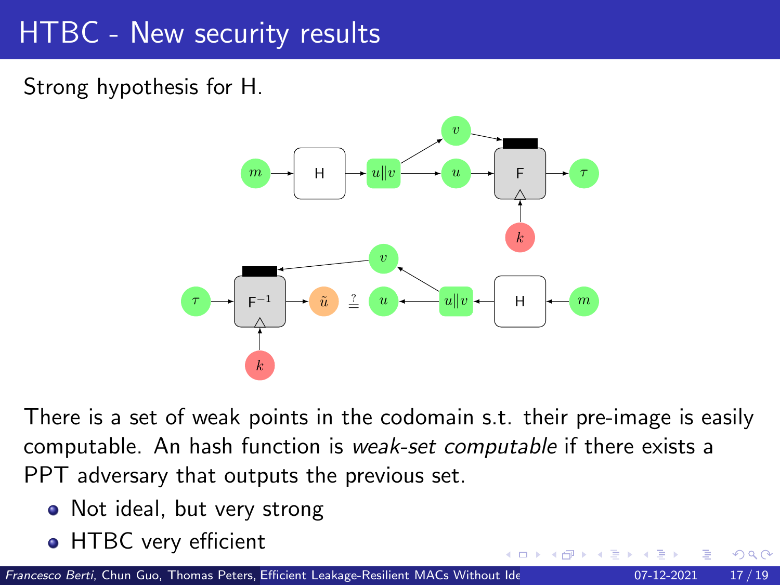Strong hypothesis for H.



There is a set of weak points in the codomain s.t. their pre-image is easily computable. An hash function is weak-set computable if there exists a PPT adversary that outputs the previous set.

- Not ideal, but very strong
- HTBC very efficient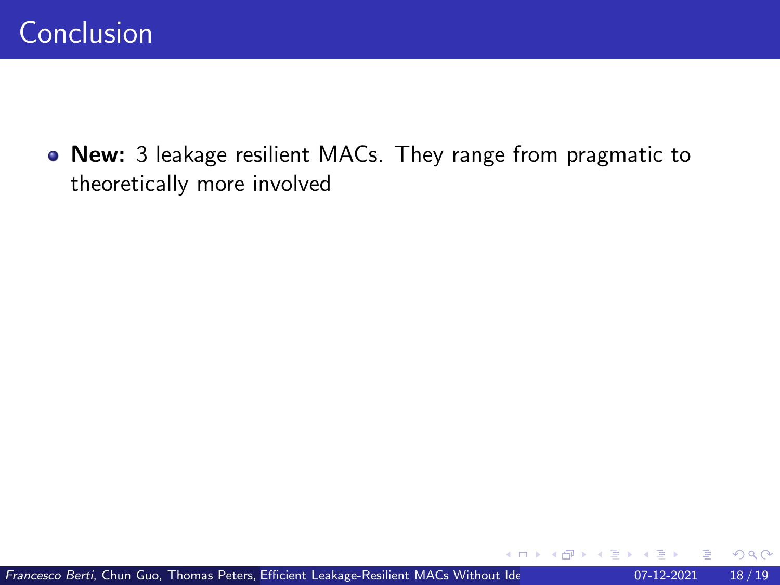New: 3 leakage resilient MACs. They range from pragmatic to theoretically more involved

€⊡

 $QQ$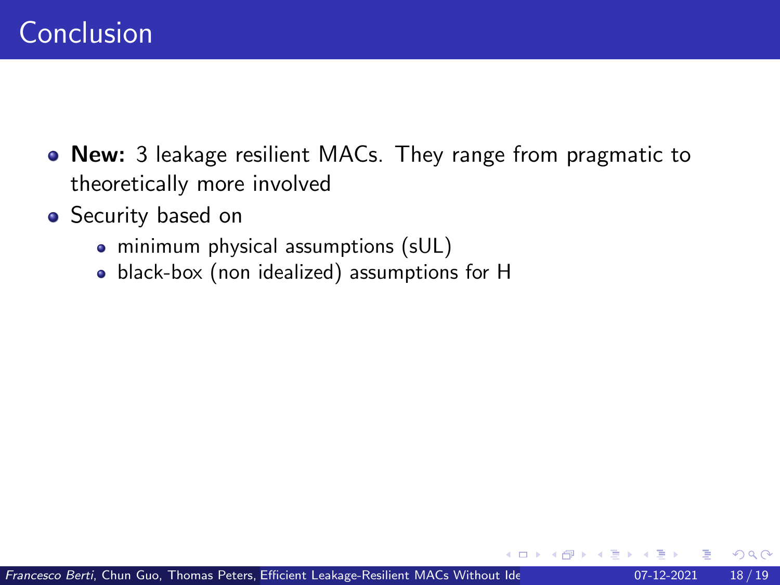- New: 3 leakage resilient MACs. They range from pragmatic to theoretically more involved
- Security based on
	- minimum physical assumptions (sUL)
	- black-box (non idealized) assumptions for H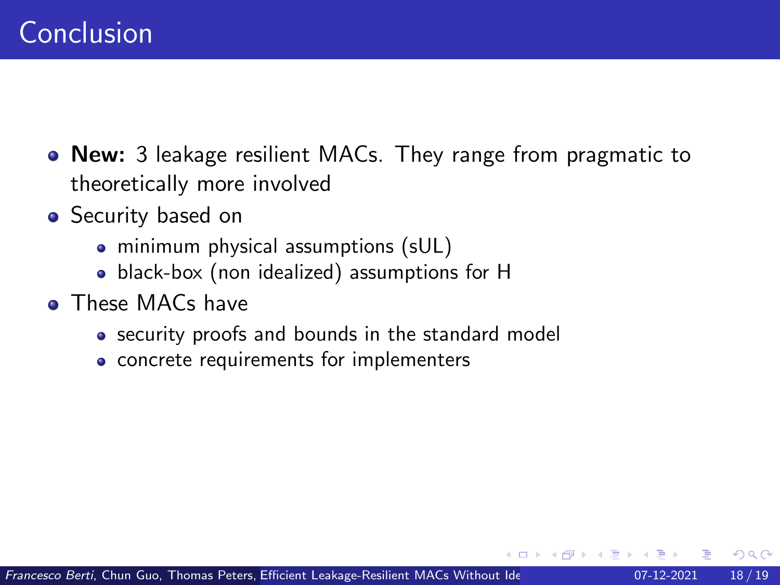- New: 3 leakage resilient MACs. They range from pragmatic to theoretically more involved
- Security based on
	- minimum physical assumptions (sUL)
	- black-box (non idealized) assumptions for H
- **These MACs have** 
	- security proofs and bounds in the standard model
	- concrete requirements for implementers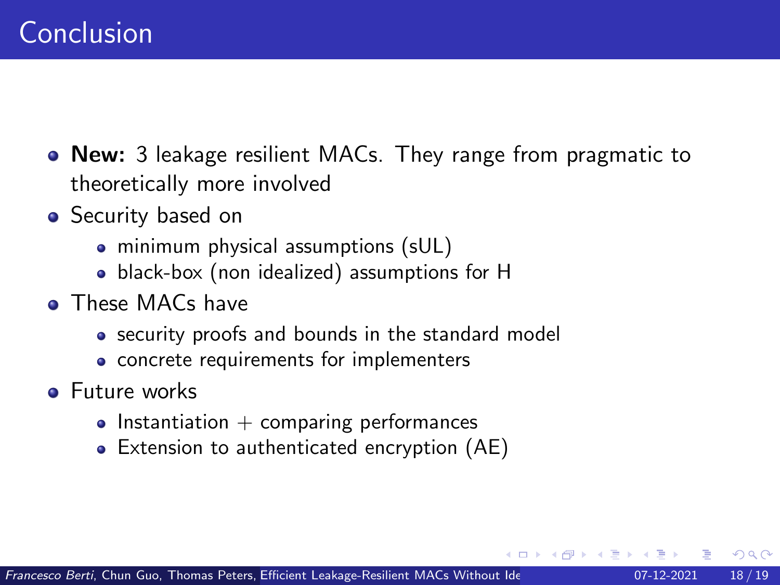- New: 3 leakage resilient MACs. They range from pragmatic to theoretically more involved
- Security based on
	- minimum physical assumptions (sUL)
	- black-box (non idealized) assumptions for H
- **These MACs have** 
	- security proofs and bounds in the standard model
	- concrete requirements for implementers
- **•** Future works
	- $\bullet$  Instantiation  $+$  comparing performances
	- Extension to authenticated encryption (AE)